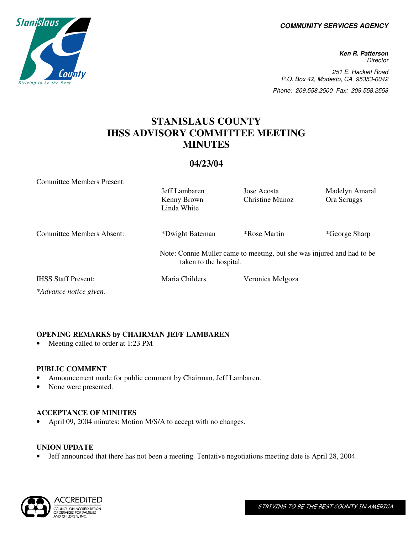**COMMUNITY SERVICES AGENCY** 

**Ken R. Patterson Director** 251 E. Hackett Road P.O. Box 42, Modesto, CA 95353-0042 Phone: 209.558.2500 Fax: 209.558.2558

# **STANISLAUS COUNTY IHSS ADVISORY COMMITTEE MEETING MINUTES**

# **04/23/04**

Committee Members Present:

|                            | Jeff Lambaren<br>Kenny Brown<br>Linda White                                                      | Jose Acosta<br>Christine Munoz | Madelyn Amaral<br>Ora Scruggs |
|----------------------------|--------------------------------------------------------------------------------------------------|--------------------------------|-------------------------------|
| Committee Members Absent:  | *Dwight Bateman                                                                                  | <i><b>*Rose Martin</b></i>     | *George Sharp                 |
|                            | Note: Connie Muller came to meeting, but she was injured and had to be<br>taken to the hospital. |                                |                               |
| <b>IHSS Staff Present:</b> | Maria Childers                                                                                   | Veronica Melgoza               |                               |
| *Advance notice given.     |                                                                                                  |                                |                               |

## **OPENING REMARKS by CHAIRMAN JEFF LAMBAREN**

• Meeting called to order at 1:23 PM

### **PUBLIC COMMENT**

- Announcement made for public comment by Chairman, Jeff Lambaren.
- None were presented.

### **ACCEPTANCE OF MINUTES**

• April 09, 2004 minutes: Motion M/S/A to accept with no changes.

### **UNION UPDATE**

• Jeff announced that there has not been a meeting. Tentative negotiations meeting date is April 28, 2004.



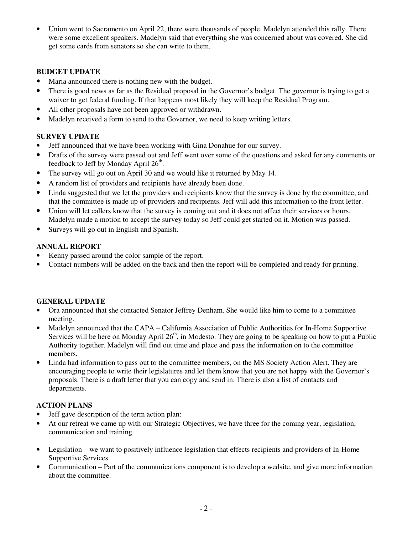• Union went to Sacramento on April 22, there were thousands of people. Madelyn attended this rally. There were some excellent speakers. Madelyn said that everything she was concerned about was covered. She did get some cards from senators so she can write to them.

# **BUDGET UPDATE**

- Maria announced there is nothing new with the budget.
- There is good news as far as the Residual proposal in the Governor's budget. The governor is trying to get a waiver to get federal funding. If that happens most likely they will keep the Residual Program.
- All other proposals have not been approved or withdrawn.
- Madelyn received a form to send to the Governor, we need to keep writing letters.

# **SURVEY UPDATE**

- Jeff announced that we have been working with Gina Donahue for our survey.
- Drafts of the survey were passed out and Jeff went over some of the questions and asked for any comments or feedback to Jeff by Monday April 26<sup>th</sup>.
- The survey will go out on April 30 and we would like it returned by May 14.
- A random list of providers and recipients have already been done.
- Linda suggested that we let the providers and recipients know that the survey is done by the committee, and that the committee is made up of providers and recipients. Jeff will add this information to the front letter.
- Union will let callers know that the survey is coming out and it does not affect their services or hours. Madelyn made a motion to accept the survey today so Jeff could get started on it. Motion was passed.
- Surveys will go out in English and Spanish.

### **ANNUAL REPORT**

- Kenny passed around the color sample of the report.
- Contact numbers will be added on the back and then the report will be completed and ready for printing.

### **GENERAL UPDATE**

- Ora announced that she contacted Senator Jeffrey Denham. She would like him to come to a committee meeting.
- Madelyn announced that the CAPA California Association of Public Authorities for In-Home Supportive Services will be here on Monday April  $26<sup>th</sup>$ , in Modesto. They are going to be speaking on how to put a Public Authority together. Madelyn will find out time and place and pass the information on to the committee members.
- Linda had information to pass out to the committee members, on the MS Society Action Alert. They are encouraging people to write their legislatures and let them know that you are not happy with the Governor's proposals. There is a draft letter that you can copy and send in. There is also a list of contacts and departments.

# **ACTION PLANS**

- Jeff gave description of the term action plan:
- At our retreat we came up with our Strategic Objectives, we have three for the coming year, legislation, communication and training.
- Legislation we want to positively influence legislation that effects recipients and providers of In-Home Supportive Services
- Communication Part of the communications component is to develop a wedsite, and give more information about the committee.